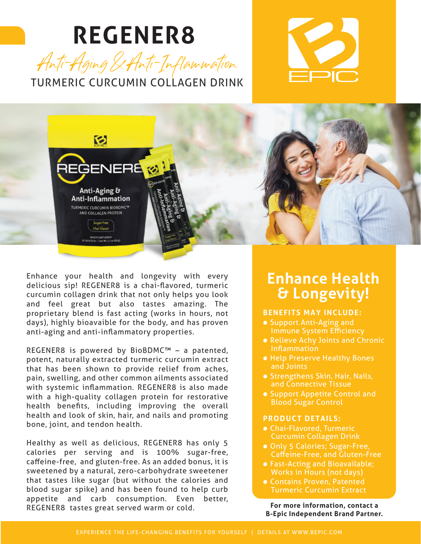# **REGENER8**







Enhance your health and longevity with every delicious sip! REGENER8 is a chai-flavored, turmeric curcumin collagen drink that not only helps you look and feel great but also tastes amazing. The proprietary blend is fast acting (works in hours, not days), highly bioavaible for the body, and has proven anti-aging and anti-inflammatory properties.

REGENER8 is powered by BioBDMC™ – a patented, potent, naturally extracted turmeric curcumin extract that has been shown to provide relief from aches, pain, swelling, and other common ailments associated with systemic inflammation. REGENER8 is also made with a high-quality collagen protein for restorative health benefits, including improving the overall health and look of skin, hair, and nails and promoting bone, joint, and tendon health.

Healthy as well as delicious, REGENER8 has only 5 calories per serving and is 100% sugar-free, caffeine-free, and gluten-free. As an added bonus, it is sweetened by a natural, zero-carbohydrate sweetener that tastes like sugar (but without the calories and blood sugar spike) and has been found to help curb appetite and carb consumption. Even better, REGENER8 tastes great served warm or cold.

#### **Enhance Health & Longevity!**

#### **BENEFITS MAY INCLUDE:**

- Support Anti-Aging and Immune System Efficiency
- Relieve Achy Joints and Chronic Inflammation
- Help Preserve Healthy Bones and Joints
- Strengthens Skin, Hair, Nails, and Connective Tissue
- Support Appetite Control and Blood Sugar Control

#### **PRODUCT DETAILS:**

- Chai-Flavored, Turmeric Curcumin Collagen Drink
- Only 5 Calories; Sugar-Free, Caffeine-Free, and Gluten-Free
- Fast-Acting and Bioavailable; Works in Hours (not days)
- Contains Proven, Patented Turmeric Curcumin Extract

**For more information, contact a B-Epic Independent Brand Partner.**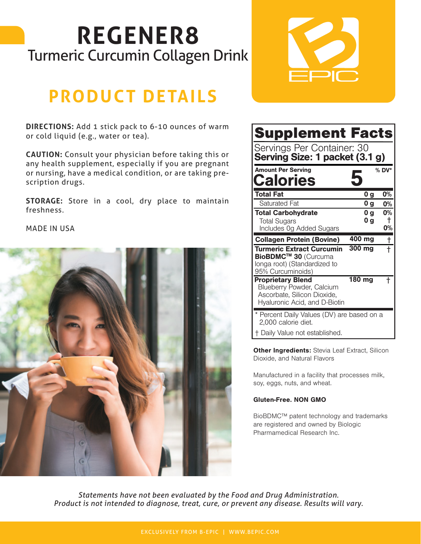# **REGENER8** Turmeric Curcumin Collagen Drink

## **PRODUCT DETAILS**

**DIRECTIONS:** Add 1 stick pack to 6-10 ounces of warm or cold liquid (e.g., water or tea).

**CAUTION:** Consult your physician before taking this or any health supplement, especially if you are pregnant or nursing, have a medical condition, or are taking prescription drugs.

**STORAGE:** Store in a cool, dry place to maintain freshness.

MADE IN USA





| <b>Supplement Facts</b>                                                                                               |                                  |               |
|-----------------------------------------------------------------------------------------------------------------------|----------------------------------|---------------|
| Servings Per Container: 30<br>Serving Size: 1 packet (3.1 g)                                                          |                                  |               |
| <b>Amount Per Serving</b><br><b>Calories</b>                                                                          |                                  | % DV*         |
| Total Fat                                                                                                             | 0 <sub>g</sub>                   | 0%            |
| <b>Saturated Fat</b>                                                                                                  | 0 <sub>g</sub>                   | 0%            |
| <b>Total Carbohydrate</b><br><b>Total Sugars</b><br>Includes Og Added Sugars                                          | 0 <sub>g</sub><br>0 <sub>g</sub> | 0%<br>ŧ<br>0% |
| <b>Collagen Protein (Bovine)</b>                                                                                      | 400 mg                           | t             |
| <b>Turmeric Extract Curcumin</b><br>BioBDMC™ 30 (Curcuma<br>longa root) (Standardized to<br>95% Curcuminoids)         | 300 mg                           |               |
| <b>Proprietary Blend</b><br>Blueberry Powder, Calcium<br>Ascorbate, Silicon Dioxide,<br>Hyaluronic Acid, and D-Biotin | 180 mg                           |               |
| * Percent Daily Values (DV) are based on a<br>2.000 calorie diet.                                                     |                                  |               |

† Daily Value not established.

**Other Ingredients: Stevia Leaf Extract, Silicon** Dioxide, and Natural Flavors

Manufactured in a facility that processes milk, soy, eggs, nuts, and wheat.

#### Gluten-Free. NON GMO

BioBDMC™ patent technology and trademarks are registered and owned by Biologic Pharmamedical Research Inc.

*Statements have not been evaluated by the Food and Drug Administration. Product is not intended to diagnose, treat, cure, or prevent any disease. Results will vary.*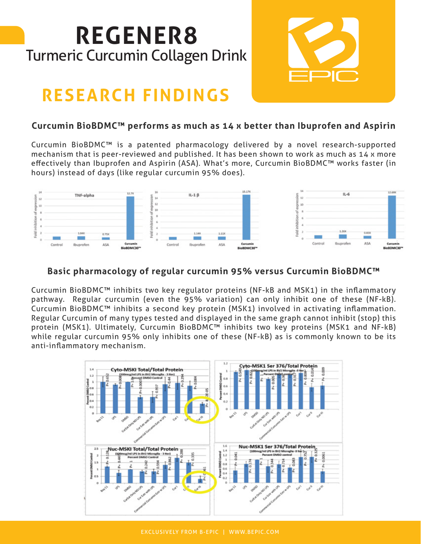# **REGENER8** Turmeric Curcumin Collagen Drink

## **RESEARCH FINDINGS**

#### **Curcumin BioBDMC™ performs as much as 14 x better than Ibuprofen and Aspirin**

Curcumin BioBDMC™ is a patented pharmacology delivered by a novel research-supported mechanism that is peer-reviewed and published. It has been shown to work as much as 14 x more effectively than Ibuprofen and Aspirin (ASA). What's more, Curcumin BioBDMC™ works faster (in hours) instead of days (like regular curcumin 95% does).



#### **Basic pharmacology of regular curcumin 95% versus Curcumin BioBDMC™**

Curcumin BioBDMC™ inhibits two key regulator proteins (NF-kB and MSK1) in the inflammatory pathway. Regular curcumin (even the 95% variation) can only inhibit one of these (NF-kB). Curcumin BioBDMC™ inhibits a second key protein (MSK1) involved in activating inflammation. Regular Curcumin of many types tested and displayed in the same graph cannot inhibit (stop) this protein (MSK1). Ultimately, Curcumin BioBDMC™ inhibits two key proteins (MSK1 and NF-kB) while regular curcumin 95% only inhibits one of these (NF-kB) as is commonly known to be its anti-inflammatory mechanism.